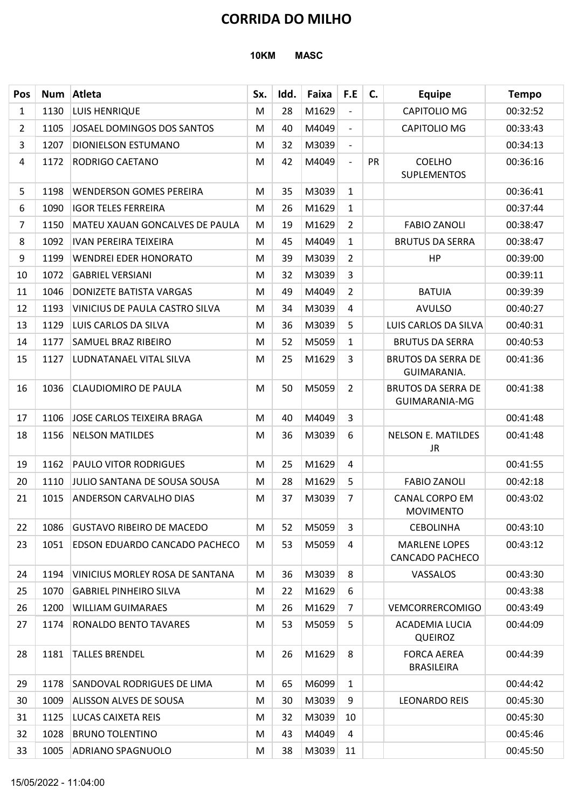### 10KM MASC

|                |      |                                        |             |      | <b>CORRIDA DO MILHO</b> |                          |    |                                                |              |
|----------------|------|----------------------------------------|-------------|------|-------------------------|--------------------------|----|------------------------------------------------|--------------|
|                |      |                                        | <b>10KM</b> |      | <b>MASC</b>             |                          |    |                                                |              |
| <b>Pos</b>     | Num  | Atleta                                 | Sx.         | Idd. | Faixa                   | F.E                      | C. | <b>Equipe</b>                                  | <b>Tempo</b> |
| $\mathbf{1}$   | 1130 | <b>LUIS HENRIQUE</b>                   | M           | 28   | M1629                   | $\overline{\phantom{a}}$ |    | CAPITOLIO MG                                   | 00:32:52     |
| $\overline{2}$ | 1105 | JOSAEL DOMINGOS DOS SANTOS             | M           | 40   | M4049                   | $\overline{\phantom{a}}$ |    | CAPITOLIO MG                                   | 00:33:43     |
| 3              | 1207 | DIONIELSON ESTUMANO                    | M           | 32   | M3039                   | $\overline{\phantom{a}}$ |    |                                                | 00:34:13     |
| 4              | 1172 | RODRIGO CAETANO                        | M           | 42   | M4049                   | $\overline{\phantom{a}}$ | PR | <b>COELHO</b><br>SUPLEMENTOS                   | 00:36:16     |
| 5              | 1198 | <b>WENDERSON GOMES PEREIRA</b>         | M           | 35   | M3039                   | $\mathbf{1}$             |    |                                                | 00:36:41     |
| 6              | 1090 | <b>IGOR TELES FERREIRA</b>             | M           | 26   | M1629                   | $\mathbf{1}$             |    |                                                | 00:37:44     |
| $\overline{7}$ | 1150 | MATEU XAUAN GONCALVES DE PAULA         | M           | 19   | M1629                   | $\overline{2}$           |    | <b>FABIO ZANOLI</b>                            | 00:38:47     |
| 8              | 1092 | <b>IVAN PEREIRA TEIXEIRA</b>           | M           | 45   | M4049                   | $\mathbf{1}$             |    | <b>BRUTUS DA SERRA</b>                         | 00:38:47     |
| 9              | 1199 | <b>WENDREI EDER HONORATO</b>           | M           | 39   | M3039                   | $\overline{2}$           |    | <b>HP</b>                                      | 00:39:00     |
| 10             | 1072 | <b>GABRIEL VERSIANI</b>                | м           | 32   | M3039                   | 3                        |    |                                                | 00:39:11     |
| 11             | 1046 | <b>DONIZETE BATISTA VARGAS</b>         | M           | 49   | M4049                   | $\overline{2}$           |    | <b>BATUIA</b>                                  | 00:39:39     |
| 12             | 1193 | VINICIUS DE PAULA CASTRO SILVA         | M           | 34   | M3039                   | 4                        |    | <b>AVULSO</b>                                  | 00:40:27     |
| 13             | 1129 | LUIS CARLOS DA SILVA                   | M           | 36   | M3039                   | 5                        |    | LUIS CARLOS DA SILVA                           | 00:40:31     |
| 14             | 1177 | <b>SAMUEL BRAZ RIBEIRO</b>             | M           | 52   | M5059                   | $\mathbf{1}$             |    | <b>BRUTUS DA SERRA</b>                         | 00:40:53     |
| 15             | 1127 | LUDNATANAEL VITAL SILVA                | M           | 25   | M1629                   | $\overline{3}$           |    | <b>BRUTOS DA SERRA DE</b><br>GUIMARANIA.       | 00:41:36     |
| 16             | 1036 | <b>CLAUDIOMIRO DE PAULA</b>            | M           | 50   | M5059                   | $\overline{2}$           |    | <b>BRUTOS DA SERRA DE</b><br>GUIMARANIA-MG     | 00:41:38     |
| 17             | 1106 | JOSE CARLOS TEIXEIRA BRAGA             | M           | 40   | M4049                   | 3                        |    |                                                | 00:41:48     |
| 18             |      | 1156 NELSON MATILDES                   | M           | 36   | M3039                   | 6                        |    | <b>NELSON E. MATILDES</b><br><b>JR</b>         | 00:41:48     |
| 19             | 1162 | <b>PAULO VITOR RODRIGUES</b>           | M           | 25   | M1629                   | 4                        |    |                                                | 00:41:55     |
| 20             | 1110 | JULIO SANTANA DE SOUSA SOUSA           | M           | 28   | M1629                   | 5                        |    | <b>FABIO ZANOLI</b>                            | 00:42:18     |
| 21             | 1015 | <b>ANDERSON CARVALHO DIAS</b>          | M           | 37   | M3039                   | 7                        |    | <b>CANAL CORPO EM</b><br><b>MOVIMENTO</b>      | 00:43:02     |
| 22             | 1086 | <b>GUSTAVO RIBEIRO DE MACEDO</b>       | M           | 52   | M5059                   | 3                        |    | <b>CEBOLINHA</b>                               | 00:43:10     |
| 23             | 1051 | <b>EDSON EDUARDO CANCADO PACHECO</b>   | M           | 53   | M5059                   | 4                        |    | <b>MARLENE LOPES</b><br><b>CANCADO PACHECO</b> | 00:43:12     |
| 24             | 1194 | <b>VINICIUS MORLEY ROSA DE SANTANA</b> | M           | 36   | M3039                   | 8                        |    | VASSALOS                                       | 00:43:30     |
| 25             | 1070 | <b>GABRIEL PINHEIRO SILVA</b>          | M           | 22   | M1629                   | 6                        |    |                                                | 00:43:38     |
| 26             | 1200 | <b>WILLIAM GUIMARAES</b>               | M           | 26   | M1629                   | $\overline{7}$           |    | <b>VEMCORRERCOMIGO</b>                         | 00:43:49     |
| 27             | 1174 | <b>RONALDO BENTO TAVARES</b>           | M           | 53   | M5059                   | 5                        |    | ACADEMIA LUCIA<br><b>QUEIROZ</b>               | 00:44:09     |
| 28             | 1181 | <b>TALLES BRENDEL</b>                  | M           | 26   | M1629                   | 8                        |    | <b>FORCA AEREA</b><br><b>BRASILEIRA</b>        | 00:44:39     |
| 29             | 1178 | SANDOVAL RODRIGUES DE LIMA             | M           | 65   | M6099                   | $\mathbf{1}$             |    |                                                | 00:44:42     |
| 30             | 1009 | <b>ALISSON ALVES DE SOUSA</b>          | M           | 30   | M3039                   | 9                        |    | <b>LEONARDO REIS</b>                           | 00:45:30     |
| 31             |      | 1125   LUCAS CAIXETA REIS              | M           | 32   | M3039 10                |                          |    |                                                | 00:45:30     |
| 32             | 1028 | <b>BRUNO TOLENTINO</b>                 | M           | 43   | M4049                   | 4                        |    |                                                | 00:45:46     |
| 33             | 1005 | <b>ADRIANO SPAGNUOLO</b>               | M           | 38   | M3039                   | 11                       |    |                                                | 00:45:50     |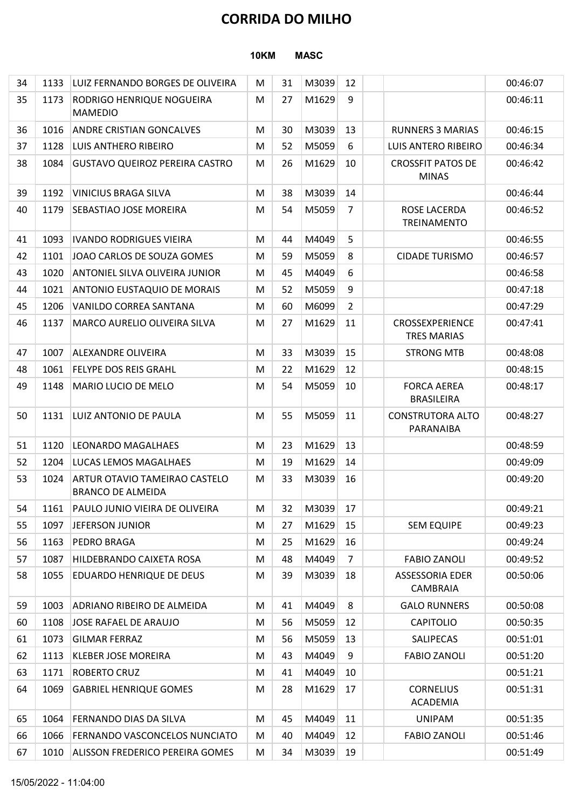### 10KM MASC

|          |              |                                                           |             |          | <b>CORRIDA DO MILHO</b> |                |                                          |                      |
|----------|--------------|-----------------------------------------------------------|-------------|----------|-------------------------|----------------|------------------------------------------|----------------------|
|          |              |                                                           | <b>10KM</b> |          | <b>MASC</b>             |                |                                          |                      |
| 34       | 1133         | LUIZ FERNANDO BORGES DE OLIVEIRA                          | M           | 31       | M3039                   | 12             |                                          | 00:46:07             |
| 35       | 1173         | RODRIGO HENRIQUE NOGUEIRA<br><b>MAMEDIO</b>               | M           | 27       | M1629                   | 9              |                                          | 00:46:11             |
| 36       | 1016         | <b>ANDRE CRISTIAN GONCALVES</b>                           | M           | 30       | M3039                   | 13             | <b>RUNNERS 3 MARIAS</b>                  | 00:46:15             |
| 37       | 1128         | LUIS ANTHERO RIBEIRO                                      | M           | 52       | M5059                   | 6              | LUIS ANTERO RIBEIRO                      | 00:46:34             |
| 38       | 1084         | <b>GUSTAVO QUEIROZ PEREIRA CASTRO</b>                     | M           | 26       | M1629                   | 10             | <b>CROSSFIT PATOS DE</b><br><b>MINAS</b> | 00:46:42             |
| 39       | 1192         | <b>VINICIUS BRAGA SILVA</b>                               | M           | 38       | M3039                   | 14             |                                          | 00:46:44             |
| 40       | 1179         | SEBASTIAO JOSE MOREIRA                                    | M           | 54       | M5059                   | $\overline{7}$ | ROSE LACERDA<br>TREINAMENTO              | 00:46:52             |
| 41       | 1093         | <b>IVANDO RODRIGUES VIEIRA</b>                            | M           | 44       | M4049                   | 5              |                                          | 00:46:55             |
| 42       | 1101         | JOAO CARLOS DE SOUZA GOMES                                | M           | 59       | M5059                   | 8              | <b>CIDADE TURISMO</b>                    | 00:46:57             |
| 43       | 1020         | ANTONIEL SILVA OLIVEIRA JUNIOR                            | M           | 45       | M4049                   | 6              |                                          | 00:46:58             |
| 44       | 1021         | <b>ANTONIO EUSTAQUIO DE MORAIS</b>                        | M           | 52       | M5059                   | 9              |                                          | 00:47:18             |
| 45       | 1206         | VANILDO CORREA SANTANA                                    | M           | 60       | M6099                   | $\overline{2}$ |                                          | 00:47:29             |
| 46       | 1137         | MARCO AURELIO OLIVEIRA SILVA                              | M           | 27       | M1629                   | 11             | CROSSEXPERIENCE<br><b>TRES MARIAS</b>    | 00:47:41             |
| 47       | 1007         | <b>ALEXANDRE OLIVEIRA</b>                                 | M           | 33       | M3039                   | 15             | <b>STRONG MTB</b>                        | 00:48:08             |
| 48       | 1061         | <b>FELYPE DOS REIS GRAHL</b>                              | M           | 22       | M1629                   | 12             |                                          | 00:48:15             |
| 49       | 1148         | <b>MARIO LUCIO DE MELO</b>                                | M           | 54       | M5059                   | 10             | <b>FORCA AEREA</b><br><b>BRASILEIRA</b>  | 00:48:17             |
| 50       | 1131         | LUIZ ANTONIO DE PAULA                                     | M           | 55       | M5059                   | 11             | <b>CONSTRUTORA ALTO</b><br>PARANAIBA     | 00:48:27             |
| 51       | 1120         | LEONARDO MAGALHAES                                        | M           | 23       | M1629                   | 13             |                                          | 00:48:59             |
| 52       | 1204         | LUCAS LEMOS MAGALHAES                                     | M           | 19       | M1629                   | 14             |                                          | 00:49:09             |
| 53       | 1024         | ARTUR OTAVIO TAMEIRAO CASTELO<br><b>BRANCO DE ALMEIDA</b> | M           | 33       | M3039                   | 16             |                                          | 00:49:20             |
| 54       | 1161         | PAULO JUNIO VIEIRA DE OLIVEIRA                            | M           | 32       | M3039                   | 17             |                                          | 00:49:21             |
| 55       | 1097<br>1163 | JEFERSON JUNIOR<br><b>PEDRO BRAGA</b>                     | M           | 27       | M1629<br>M1629          | 15<br>16       | <b>SEM EQUIPE</b>                        | 00:49:23             |
| 56<br>57 | 1087         | HILDEBRANDO CAIXETA ROSA                                  | M<br>M      | 25<br>48 | M4049                   | 7              | <b>FABIO ZANOLI</b>                      | 00:49:24<br>00:49:52 |
| 58       | 1055         | <b>EDUARDO HENRIQUE DE DEUS</b>                           | M           | 39       | M3039                   | 18             | ASSESSORIA EDER<br><b>CAMBRAIA</b>       | 00:50:06             |
| 59       | 1003         | ADRIANO RIBEIRO DE ALMEIDA                                | M           | 41       | M4049                   | 8              | <b>GALO RUNNERS</b>                      | 00:50:08             |
| 60       | 1108         | JOSE RAFAEL DE ARAUJO                                     | M           | 56       | M5059                   | 12             | <b>CAPITOLIO</b>                         | 00:50:35             |
| 61       | 1073         | <b>GILMAR FERRAZ</b>                                      | M           | 56       | M5059                   | 13             | SALIPECAS                                | 00:51:01             |
| 62       | 1113         | <b>KLEBER JOSE MOREIRA</b>                                | M           | 43       | M4049                   | 9              | <b>FABIO ZANOLI</b>                      | 00:51:20             |
| 63       | 1171         | <b>ROBERTO CRUZ</b>                                       | M           | 41       | M4049                   | 10             |                                          | 00:51:21             |
| 64       | 1069         | <b>GABRIEL HENRIQUE GOMES</b>                             | M           | 28       | M1629                   | 17             | <b>CORNELIUS</b><br>ACADEMIA             | 00:51:31             |
| 65       | 1064         | FERNANDO DIAS DA SILVA                                    | M           | 45       | M4049                   | 11             | <b>UNIPAM</b>                            | 00:51:35             |
| 66       | 1066         | <b>FERNANDO VASCONCELOS NUNCIATO</b>                      | M           | 40       | M4049                   | 12             | <b>FABIO ZANOLI</b>                      | 00:51:46             |
| 67       |              | 1010 ALISSON FREDERICO PEREIRA GOMES                      | M           | 34       | M3039                   | 19             |                                          | 00:51:49             |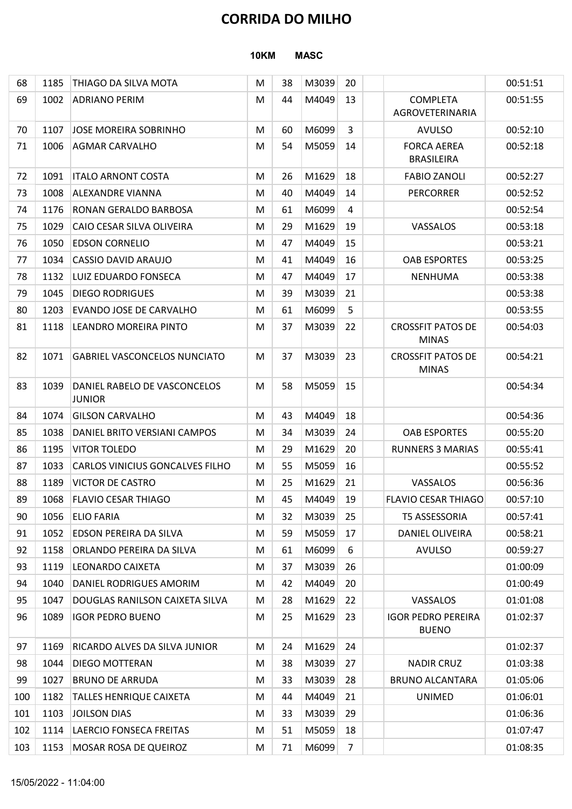#### 10KM MASC

|     |      |                                               |             |    |             | <b>CORRIDA DO MILHO</b> |                                           |          |
|-----|------|-----------------------------------------------|-------------|----|-------------|-------------------------|-------------------------------------------|----------|
|     |      |                                               | <b>10KM</b> |    | <b>MASC</b> |                         |                                           |          |
| 68  | 1185 | THIAGO DA SILVA MOTA                          | M           | 38 | M3039       | 20                      |                                           | 00:51:51 |
| 69  | 1002 | <b>ADRIANO PERIM</b>                          | M           | 44 | M4049       | 13                      | <b>COMPLETA</b><br>AGROVETERINARIA        | 00:51:55 |
| 70  | 1107 | JOSE MOREIRA SOBRINHO                         | M           | 60 | M6099       | 3                       | <b>AVULSO</b>                             | 00:52:10 |
| 71  | 1006 | <b>AGMAR CARVALHO</b>                         | M           | 54 | M5059       | 14                      | <b>FORCA AEREA</b><br><b>BRASILEIRA</b>   | 00:52:18 |
| 72  | 1091 | <b>ITALO ARNONT COSTA</b>                     | M           | 26 | M1629       | 18                      | <b>FABIO ZANOLI</b>                       | 00:52:27 |
| 73  | 1008 | <b>ALEXANDRE VIANNA</b>                       | M           | 40 | M4049       | 14                      | <b>PERCORRER</b>                          | 00:52:52 |
| 74  | 1176 | <b>RONAN GERALDO BARBOSA</b>                  | M           | 61 | M6099       | 4                       |                                           | 00:52:54 |
| 75  | 1029 | CAIO CESAR SILVA OLIVEIRA                     | M           | 29 | M1629       | 19                      | VASSALOS                                  | 00:53:18 |
| 76  | 1050 | <b>EDSON CORNELIO</b>                         | M           | 47 | M4049       | 15                      |                                           | 00:53:21 |
| 77  | 1034 | <b>CASSIO DAVID ARAUJO</b>                    | M           | 41 | M4049       | 16                      | <b>OAB ESPORTES</b>                       | 00:53:25 |
| 78  | 1132 | LUIZ EDUARDO FONSECA                          | M           | 47 | M4049       | 17                      | NENHUMA                                   | 00:53:38 |
| 79  | 1045 | <b>DIEGO RODRIGUES</b>                        | M           | 39 | M3039       | 21                      |                                           | 00:53:38 |
| 80  | 1203 | <b>EVANDO JOSE DE CARVALHO</b>                | M           | 61 | M6099       | 5                       |                                           | 00:53:55 |
| 81  | 1118 | LEANDRO MOREIRA PINTO                         | M           | 37 | M3039       | 22                      | <b>CROSSFIT PATOS DE</b><br><b>MINAS</b>  | 00:54:03 |
| 82  | 1071 | <b>GABRIEL VASCONCELOS NUNCIATO</b>           | M           | 37 | M3039       | 23                      | <b>CROSSFIT PATOS DE</b><br><b>MINAS</b>  | 00:54:21 |
| 83  | 1039 | DANIEL RABELO DE VASCONCELOS<br><b>JUNIOR</b> | M           | 58 | M5059       | 15                      |                                           | 00:54:34 |
| 84  | 1074 | <b>GILSON CARVALHO</b>                        | M           | 43 | M4049       | 18                      |                                           | 00:54:36 |
| 85  | 1038 | DANIEL BRITO VERSIANI CAMPOS                  | M           | 34 | M3039       | 24                      | <b>OAB ESPORTES</b>                       | 00:55:20 |
| 86  | 1195 | <b>VITOR TOLEDO</b>                           | M           | 29 | M1629       | 20                      | <b>RUNNERS 3 MARIAS</b>                   | 00:55:41 |
| 87  | 1033 | <b>CARLOS VINICIUS GONCALVES FILHO</b>        | M           | 55 | M5059       | 16                      |                                           | 00:55:52 |
| 88  | 1189 | <b>VICTOR DE CASTRO</b>                       | M           | 25 | M1629       | 21                      | VASSALOS                                  | 00:56:36 |
| 89  | 1068 | <b>FLAVIO CESAR THIAGO</b>                    | M           | 45 | M4049       | 19                      | <b>FLAVIO CESAR THIAGO</b>                | 00:57:10 |
| 90  | 1056 | <b>ELIO FARIA</b>                             | M           | 32 | M3039       | 25                      | T5 ASSESSORIA                             | 00:57:41 |
| 91  | 1052 | <b>EDSON PEREIRA DA SILVA</b>                 | M           | 59 | M5059       | 17                      | DANIEL OLIVEIRA                           | 00:58:21 |
| 92  | 1158 | ORLANDO PEREIRA DA SILVA                      | M           | 61 | M6099       | 6                       | <b>AVULSO</b>                             | 00:59:27 |
| 93  | 1119 | LEONARDO CAIXETA                              | M           | 37 | M3039       | 26                      |                                           | 01:00:09 |
| 94  | 1040 | DANIEL RODRIGUES AMORIM                       | M           | 42 | M4049       | 20                      |                                           | 01:00:49 |
| 95  | 1047 | DOUGLAS RANILSON CAIXETA SILVA                | M           | 28 | M1629       | 22                      | VASSALOS                                  | 01:01:08 |
| 96  | 1089 | <b>IGOR PEDRO BUENO</b>                       | M           | 25 | M1629       | 23                      | <b>IGOR PEDRO PEREIRA</b><br><b>BUENO</b> | 01:02:37 |
| 97  | 1169 | RICARDO ALVES DA SILVA JUNIOR                 | M           | 24 | M1629       | 24                      |                                           | 01:02:37 |
| 98  | 1044 | <b>DIEGO MOTTERAN</b>                         | M           | 38 | M3039       | 27                      | <b>NADIR CRUZ</b>                         | 01:03:38 |
| 99  | 1027 | <b>BRUNO DE ARRUDA</b>                        | M           | 33 | M3039       | 28                      | <b>BRUNO ALCANTARA</b>                    | 01:05:06 |
| 100 | 1182 | <b>TALLES HENRIQUE CAIXETA</b>                | M           | 44 | M4049       | 21                      | <b>UNIMED</b>                             | 01:06:01 |
| 101 | 1103 | JOILSON DIAS                                  | M           | 33 | M3039       | 29                      |                                           | 01:06:36 |
| 102 | 1114 | <b>LAERCIO FONSECA FREITAS</b>                | M           | 51 | M5059       | 18                      |                                           | 01:07:47 |
| 103 |      | 1153   MOSAR ROSA DE QUEIROZ                  | M           | 71 | M6099       | $\overline{7}$          |                                           | 01:08:35 |